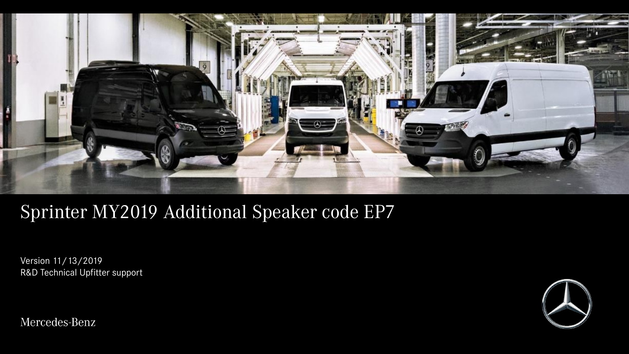

## Sprinter MY2019 Additional Speaker code EP7

Version 11/13/2019 R&D Technical Upfitter support



Mercedes-Benz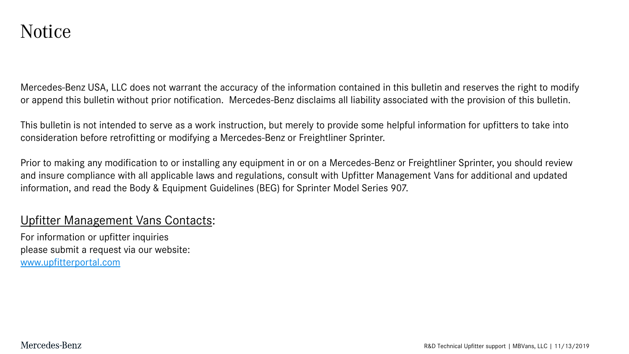Mercedes-Benz USA, LLC does not warrant the accuracy of the information contained in this bulletin and reserves the right to modify or append this bulletin without prior notification. Mercedes-Benz disclaims all liability associated with the provision of this bulletin.

This bulletin is not intended to serve as a work instruction, but merely to provide some helpful information for upfitters to take into consideration before retrofitting or modifying a Mercedes-Benz or Freightliner Sprinter.

Prior to making any modification to or installing any equipment in or on a Mercedes-Benz or Freightliner Sprinter, you should review and insure compliance with all applicable laws and regulations, consult with Upfitter Management Vans for additional and updated information, and read the Body & Equipment Guidelines (BEG) for Sprinter Model Series 907.

### Upfitter Management Vans Contacts:

For information or upfitter inquiries please submit a request via our website: [www.upfitterportal.com](http://www.upfitterportalcom/)